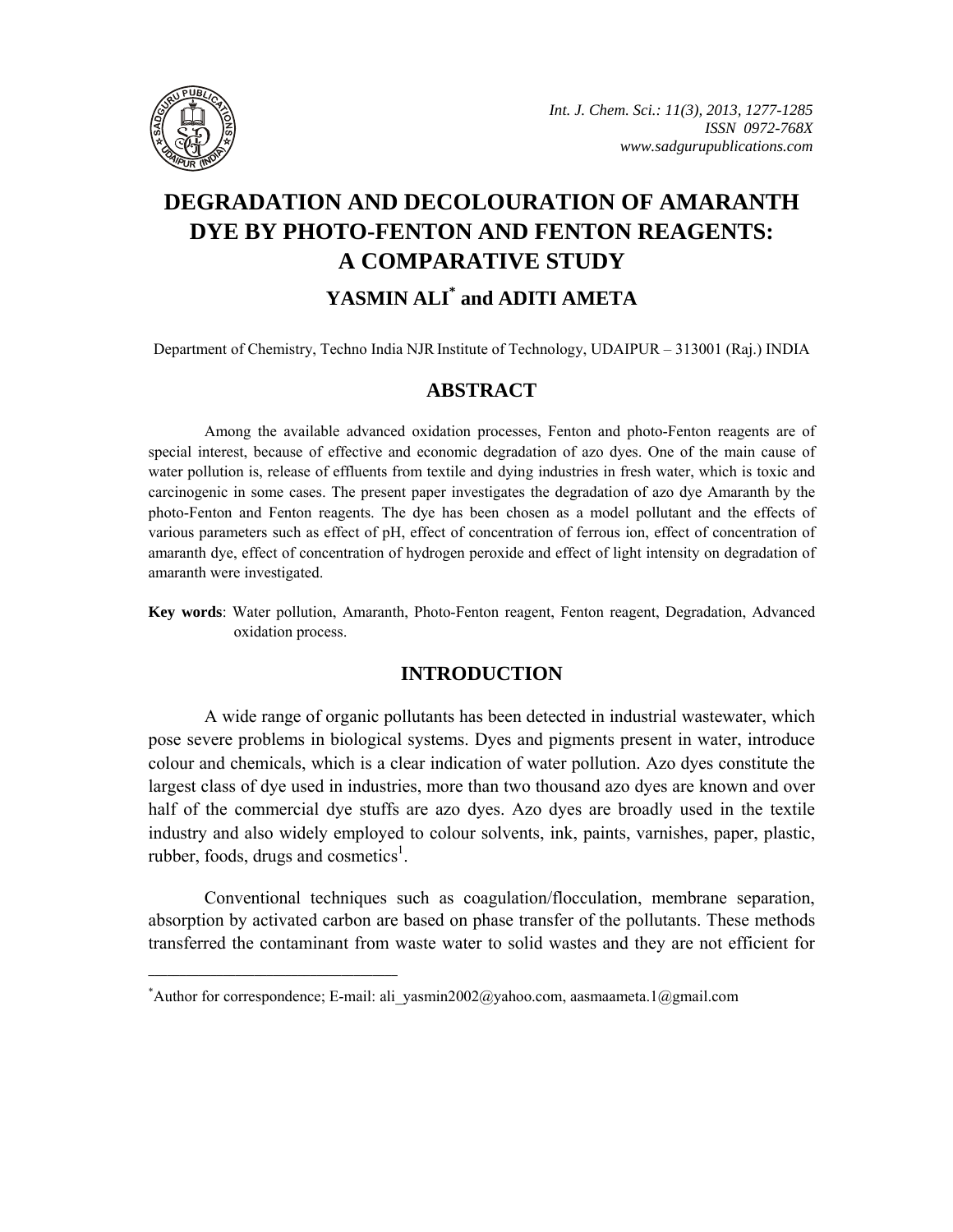

# **DEGRADATION AND DECOLOURATION OF AMARANTH DYE BY PHOTO-FENTON AND FENTON REAGENTS: A COMPARATIVE STUDY**

## YASMIN ALI<sup>\*</sup> and ADITI AMETA

Department of Chemistry, Techno India NJRInstitute of Technology, UDAIPUR – 313001 (Raj.) INDIA

## **ABSTRACT**

Among the available advanced oxidation processes, Fenton and photo-Fenton reagents are of special interest, because of effective and economic degradation of azo dyes. One of the main cause of water pollution is, release of effluents from textile and dying industries in fresh water, which is toxic and carcinogenic in some cases. The present paper investigates the degradation of azo dye Amaranth by the photo-Fenton and Fenton reagents. The dye has been chosen as a model pollutant and the effects of various parameters such as effect of pH, effect of concentration of ferrous ion, effect of concentration of amaranth dye, effect of concentration of hydrogen peroxide and effect of light intensity on degradation of amaranth were investigated.

**Key words**: Water pollution, Amaranth, Photo-Fenton reagent, Fenton reagent, Degradation, Advanced oxidation process.

## **INTRODUCTION**

A wide range of organic pollutants has been detected in industrial wastewater, which pose severe problems in biological systems. Dyes and pigments present in water, introduce colour and chemicals, which is a clear indication of water pollution. Azo dyes constitute the largest class of dye used in industries, more than two thousand azo dyes are known and over half of the commercial dye stuffs are azo dyes. Azo dyes are broadly used in the textile industry and also widely employed to colour solvents, ink, paints, varnishes, paper, plastic, rubber, foods, drugs and cosmetics<sup>1</sup>.

Conventional techniques such as coagulation/flocculation, membrane separation, absorption by activated carbon are based on phase transfer of the pollutants. These methods transferred the contaminant from waste water to solid wastes and they are not efficient for

**\_\_\_\_\_\_\_\_\_\_\_\_\_\_\_\_\_\_\_\_\_\_\_\_\_\_\_\_\_\_\_\_\_\_\_\_\_\_\_\_**

<sup>\*</sup> Author for correspondence; E-mail: ali\_yasmin2002@yahoo.com, aasmaameta.1@gmail.com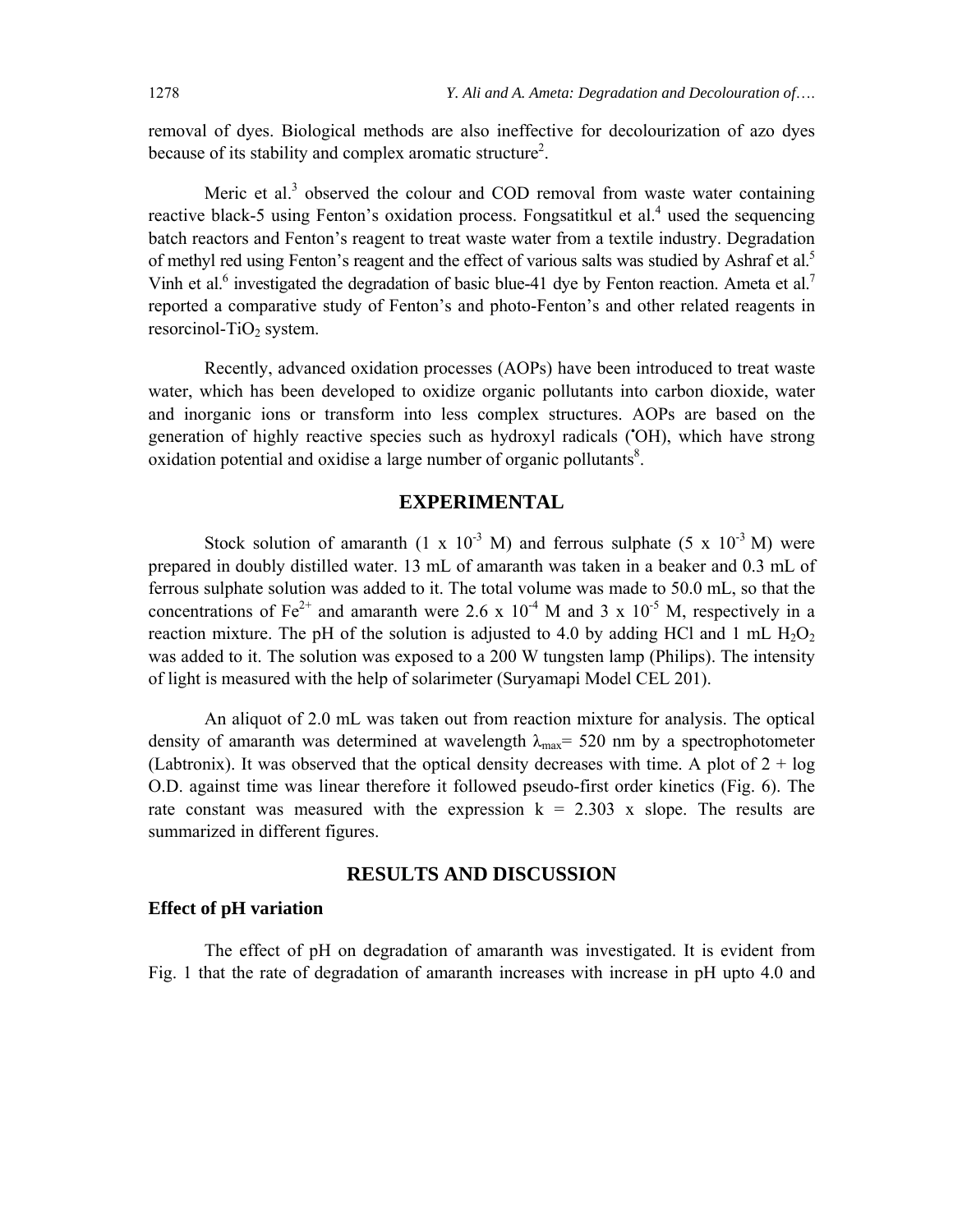removal of dyes. Biological methods are also ineffective for decolourization of azo dyes because of its stability and complex aromatic structure<sup>2</sup>.

Meric et al.<sup>3</sup> observed the colour and COD removal from waste water containing reactive black-5 using Fenton's oxidation process. Fongsatitkul et al.<sup>4</sup> used the sequencing batch reactors and Fenton's reagent to treat waste water from a textile industry. Degradation of methyl red using Fenton's reagent and the effect of various salts was studied by Ashraf et al.<sup>5</sup> Vinh et al.<sup>6</sup> investigated the degradation of basic blue-41 dye by Fenton reaction. Ameta et al.<sup>7</sup> reported a comparative study of Fenton's and photo-Fenton's and other related reagents in resorcinol-TiO<sub>2</sub> system.

Recently, advanced oxidation processes (AOPs) have been introduced to treat waste water, which has been developed to oxidize organic pollutants into carbon dioxide, water and inorganic ions or transform into less complex structures. AOPs are based on the generation of highly reactive species such as hydroxyl radicals ('OH), which have strong oxidation potential and oxidise a large number of organic pollutants $8$ .

#### **EXPERIMENTAL**

Stock solution of amaranth  $(1 \times 10^{-3} \text{ M})$  and ferrous sulphate  $(5 \times 10^{-3} \text{ M})$  were prepared in doubly distilled water. 13 mL of amaranth was taken in a beaker and 0.3 mL of ferrous sulphate solution was added to it. The total volume was made to 50.0 mL, so that the concentrations of Fe<sup>2+</sup> and amaranth were 2.6 x  $10^{-4}$  M and 3 x  $10^{-5}$  M, respectively in a reaction mixture. The pH of the solution is adjusted to 4.0 by adding HCl and 1 mL  $H_2O_2$ was added to it. The solution was exposed to a 200 W tungsten lamp (Philips). The intensity of light is measured with the help of solarimeter (Suryamapi Model CEL 201).

An aliquot of 2.0 mL was taken out from reaction mixture for analysis. The optical density of amaranth was determined at wavelength  $\lambda_{\text{max}}$  = 520 nm by a spectrophotometer (Labtronix). It was observed that the optical density decreases with time. A plot of  $2 + \log$ O.D. against time was linear therefore it followed pseudo-first order kinetics (Fig. 6). The rate constant was measured with the expression  $k = 2.303$  x slope. The results are summarized in different figures.

#### **RESULTS AND DISCUSSION**

#### **Effect of pH variation**

The effect of pH on degradation of amaranth was investigated. It is evident from Fig. 1 that the rate of degradation of amaranth increases with increase in pH upto 4.0 and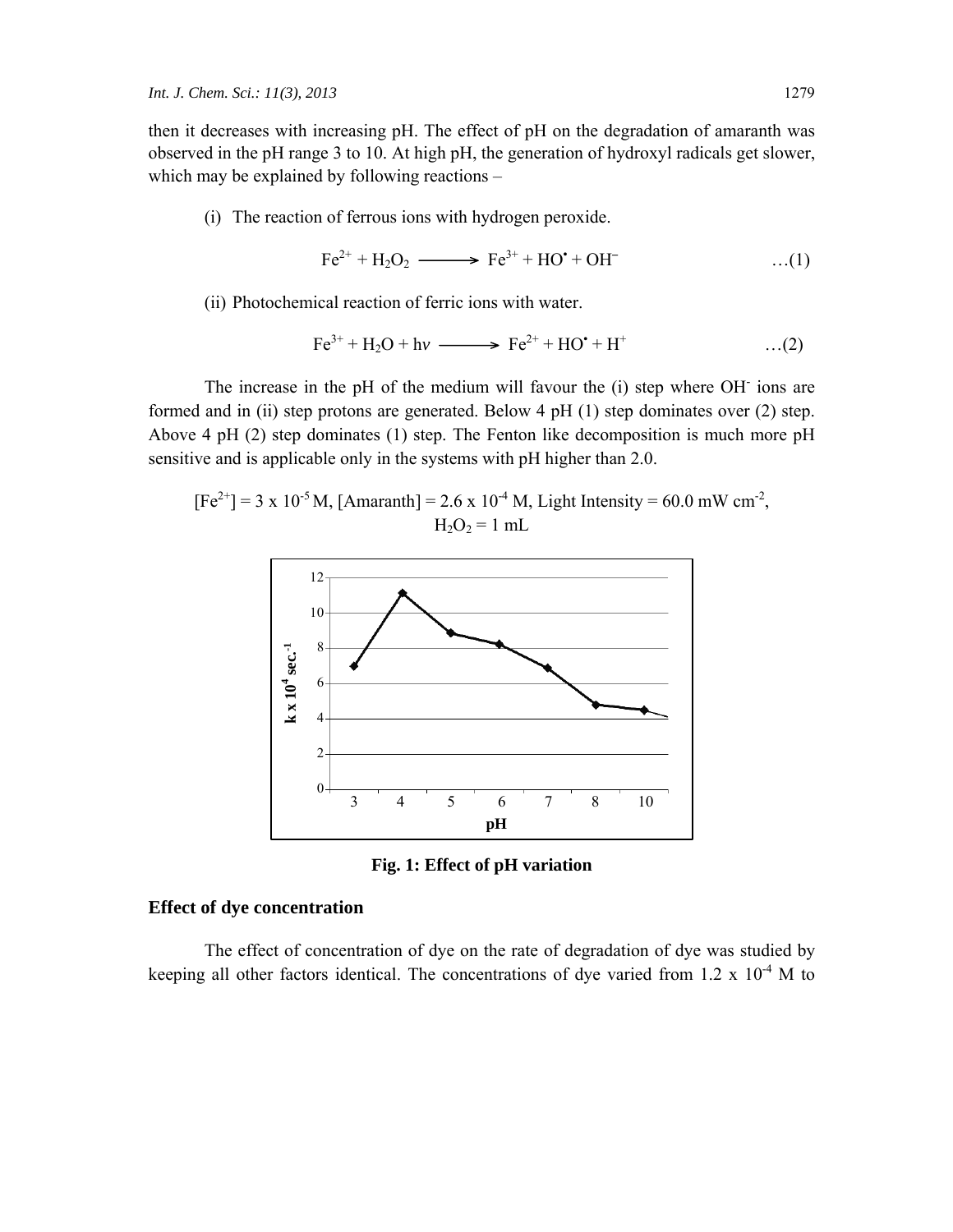then it decreases with increasing pH. The effect of pH on the degradation of amaranth was observed in the pH range 3 to 10. At high pH, the generation of hydroxyl radicals get slower, which may be explained by following reactions –

(i) The reaction of ferrous ions with hydrogen peroxide.

$$
\text{Fe}^{2+} + \text{H}_2\text{O}_2 \longrightarrow \text{Fe}^{3+} + \text{HO}^{\bullet} + \text{OH}^- \tag{1}
$$

(ii) Photochemical reaction of ferric ions with water.

$$
\text{Fe}^{3+} + \text{H}_2\text{O} + \text{h}v \xrightarrow{\qquad} \text{Fe}^{2+} + \text{HO}^{\bullet} + \text{H}^+ \qquad \qquad \dots (2)
$$

The increase in the pH of the medium will favour the (i) step where OH**-** ions are formed and in (ii) step protons are generated. Below 4 pH (1) step dominates over (2) step. Above 4 pH (2) step dominates (1) step. The Fenton like decomposition is much more pH sensitive and is applicable only in the systems with pH higher than 2.0.

 $[Fe^{2+}] = 3 \times 10^{-5}$  M, [Amaranth] = 2.6 x 10<sup>-4</sup> M, Light Intensity = 60.0 mW cm<sup>-2</sup>,  $H_2O_2 = 1$  mL



**Fig. 1: Effect of pH variation**

#### **Effect of dye concentration**

The effect of concentration of dye on the rate of degradation of dye was studied by keeping all other factors identical. The concentrations of dye varied from  $1.2 \times 10^{-4}$  M to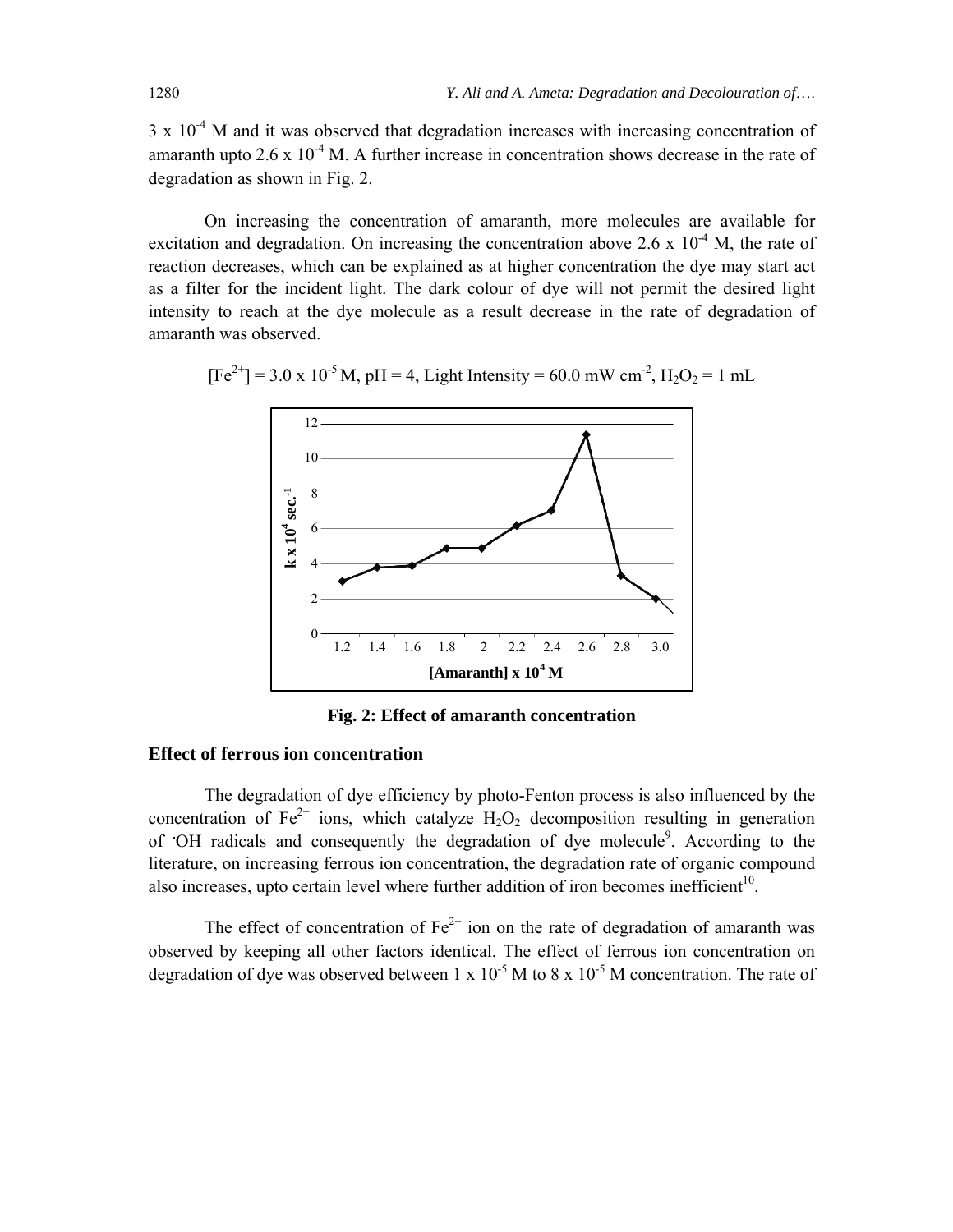$3 \times 10^{-4}$  M and it was observed that degradation increases with increasing concentration of amaranth upto  $2.6 \times 10^{-4}$  M. A further increase in concentration shows decrease in the rate of degradation as shown in Fig. 2.

On increasing the concentration of amaranth, more molecules are available for excitation and degradation. On increasing the concentration above 2.6 x  $10^{-4}$  M, the rate of reaction decreases, which can be explained as at higher concentration the dye may start act as a filter for the incident light. The dark colour of dye will not permit the desired light intensity to reach at the dye molecule as a result decrease in the rate of degradation of amaranth was observed.

$$
[Fe^{2+}] = 3.0 \times 10^{-5} \text{ M}, \text{pH} = 4, \text{ Light Intensity} = 60.0 \text{ mW cm}^2, \text{H}_2\text{O}_2 = 1 \text{ mL}
$$



**Fig. 2: Effect of amaranth concentration**

#### **Effect of ferrous ion concentration**

The degradation of dye efficiency by photo-Fenton process is also influenced by the concentration of  $Fe^{2+}$  ions, which catalyze  $H_2O_2$  decomposition resulting in generation of OH radicals and consequently the degradation of dye molecule<sup>9</sup>. According to the literature, on increasing ferrous ion concentration, the degradation rate of organic compound also increases, upto certain level where further addition of iron becomes inefficient<sup>10</sup>.

The effect of concentration of  $Fe^{2+}$  ion on the rate of degradation of amaranth was observed by keeping all other factors identical. The effect of ferrous ion concentration on degradation of dye was observed between 1 x  $10^{-5}$  M to 8 x  $10^{-5}$  M concentration. The rate of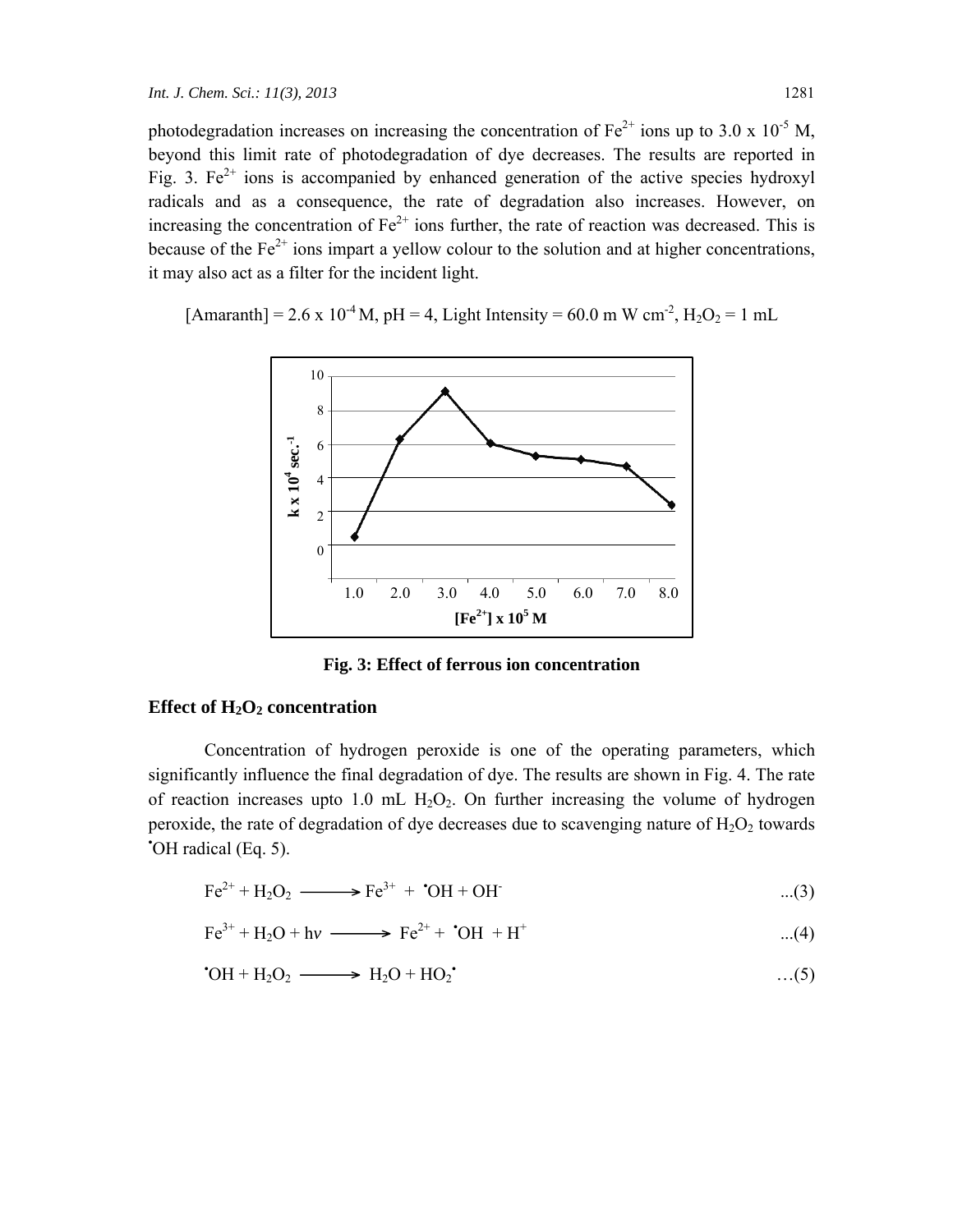photodegradation increases on increasing the concentration of  $Fe^{2+}$  ions up to 3.0 x 10<sup>-5</sup> M, beyond this limit rate of photodegradation of dye decreases. The results are reported in Fig. 3.  $Fe^{2+}$  ions is accompanied by enhanced generation of the active species hydroxyl radicals and as a consequence, the rate of degradation also increases. However, on increasing the concentration of  $Fe^{2+}$  ions further, the rate of reaction was decreased. This is because of the  $Fe<sup>2+</sup>$  ions impart a yellow colour to the solution and at higher concentrations, it may also act as a filter for the incident light.

 $[{\text{Amaranth}}] = 2.6 \times 10^{-4}$  M, pH = 4, Light Intensity = 60.0 m W cm<sup>-2</sup>, H<sub>2</sub>O<sub>2</sub> = 1 mL



**Fig. 3: Effect of ferrous ion concentration**

#### Effect of H<sub>2</sub>O<sub>2</sub> concentration

Concentration of hydrogen peroxide is one of the operating parameters, which significantly influence the final degradation of dye. The results are shown in Fig. 4. The rate of reaction increases upto 1.0 mL  $H_2O_2$ . On further increasing the volume of hydrogen peroxide, the rate of degradation of dye decreases due to scavenging nature of  $H_2O_2$  towards **•** OH radical (Eq. 5).

$$
\text{Fe}^{2+} + \text{H}_2\text{O}_2 \longrightarrow \text{Fe}^{3+} + \text{OH} + \text{OH} + \text{OH}
$$
...(3)

$$
Fe^{3+} + H_2O + hv \longrightarrow Fe^{2+} + OH + H^+ \tag{4}
$$

$$
^{\bullet}OH + H_2O_2 \longrightarrow H_2O + HO_2^{\bullet} \qquad \qquad ...(5)
$$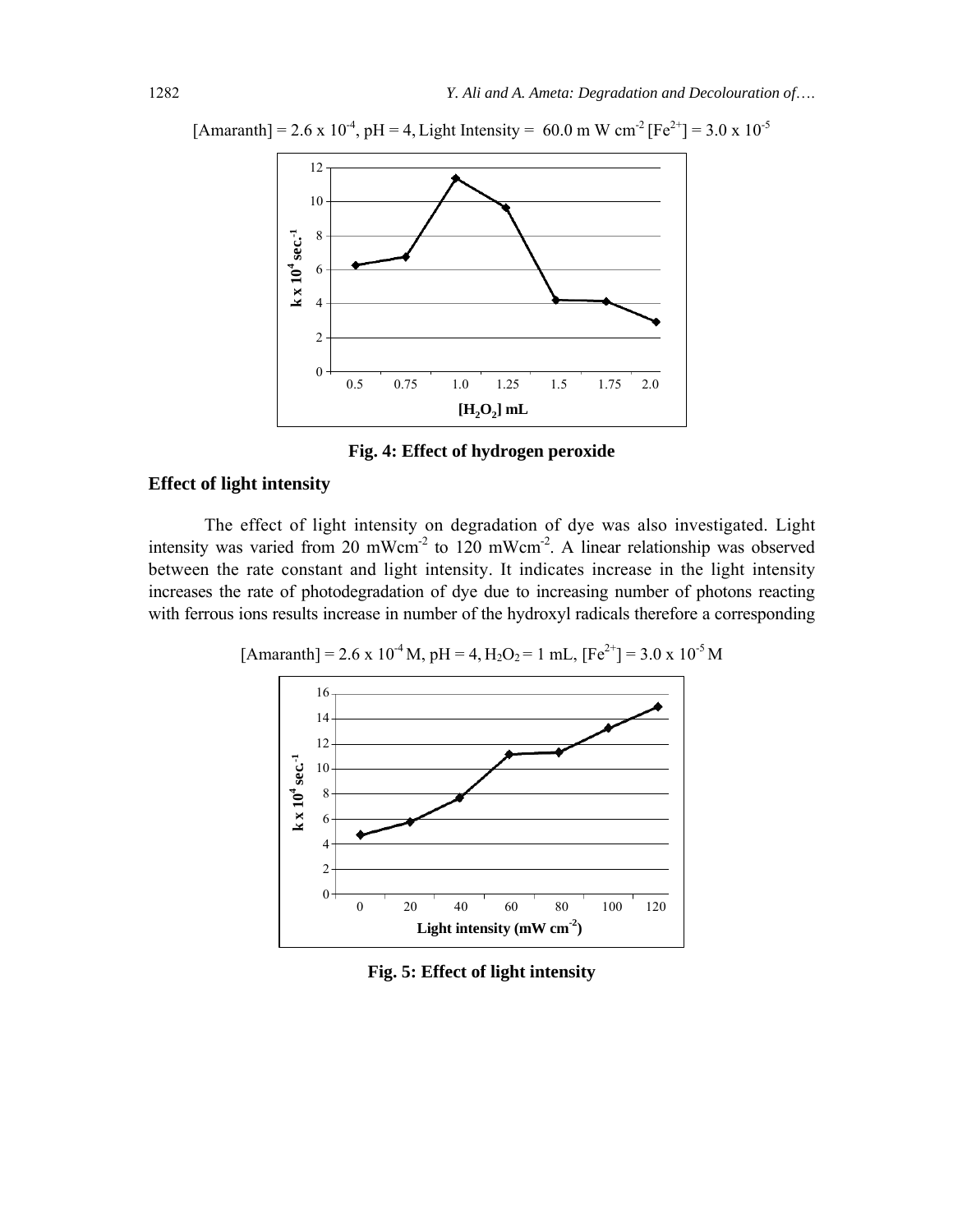

 $[{\text{Amaranth}}] = 2.6 \times 10^{-4}$ , pH = 4, Light Intensity = 60.0 m W cm<sup>-2</sup>  $[Fe^{2+}] = 3.0 \times 10^{-5}$ 

**Fig. 4: Effect of hydrogen peroxide**

### **Effect of light intensity**

The effect of light intensity on degradation of dye was also investigated. Light intensity was varied from 20 mWcm<sup>-2</sup> to 120 mWcm<sup>-2</sup>. A linear relationship was observed between the rate constant and light intensity. It indicates increase in the light intensity increases the rate of photodegradation of dye due to increasing number of photons reacting with ferrous ions results increase in number of the hydroxyl radicals therefore a corresponding

 $[Amaranth] = 2.6 \times 10^{-4} M$ , pH = 4, H<sub>2</sub>O<sub>2</sub> = 1 mL,  $[Fe^{2+}] = 3.0 \times 10^{-5} M$ 



**Fig. 5: Effect of light intensity**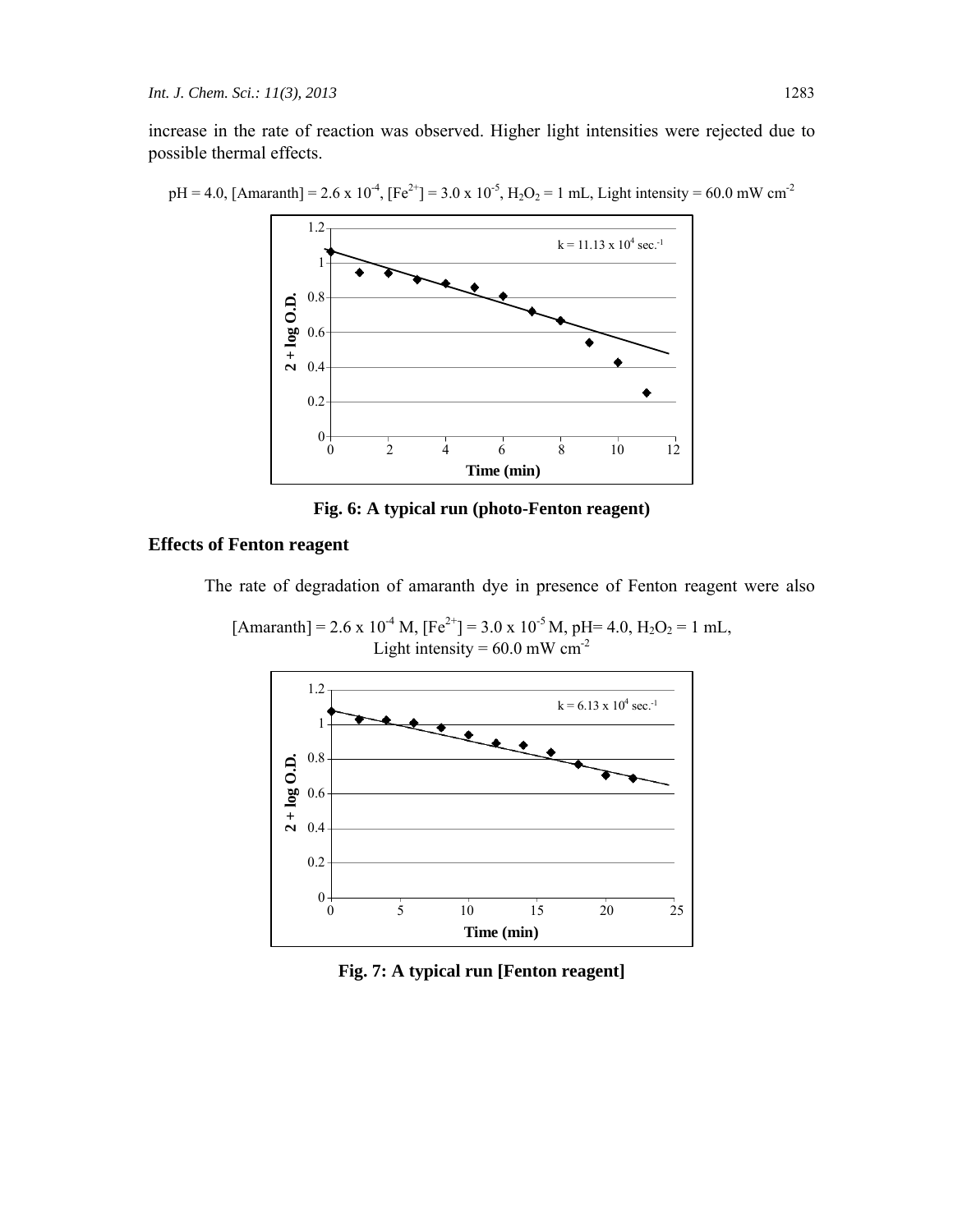increase in the rate of reaction was observed. Higher light intensities were rejected due to possible thermal effects.

 $pH = 4.0$ , [Amaranth] = 2.6 x 10<sup>-4</sup>, [Fe<sup>2+</sup>] = 3.0 x 10<sup>-5</sup>, H<sub>2</sub>O<sub>2</sub> = 1 mL, Light intensity = 60.0 mW cm<sup>-2</sup>



**Fig. 6: A typical run (photo-Fenton reagent)** 

#### **Effects of Fenton reagent**

The rate of degradation of amaranth dye in presence of Fenton reagent were also

 $[Amaranth] = 2.6 \times 10^{-4}$  M,  $[Fe^{2+}] = 3.0 \times 10^{-5}$  M, pH= 4.0, H<sub>2</sub>O<sub>2</sub> = 1 mL, Light intensity =  $60.0$  mW cm<sup>-2</sup>



**Fig. 7: A typical run [Fenton reagent]**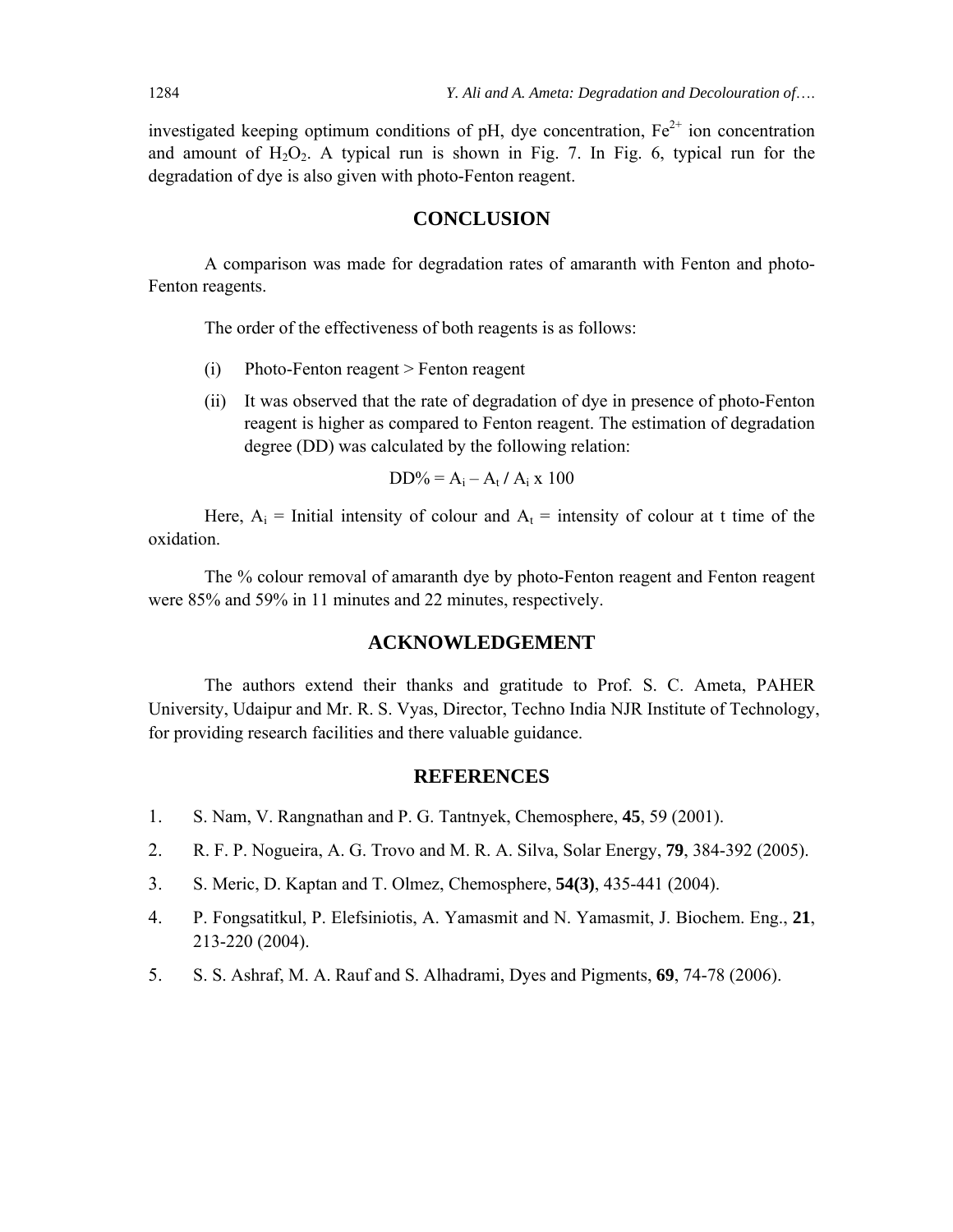investigated keeping optimum conditions of pH, dye concentration,  $Fe<sup>2+</sup>$  ion concentration and amount of  $H_2O_2$ . A typical run is shown in Fig. 7. In Fig. 6, typical run for the degradation of dye is also given with photo-Fenton reagent.

#### **CONCLUSION**

A comparison was made for degradation rates of amaranth with Fenton and photo-Fenton reagents.

The order of the effectiveness of both reagents is as follows:

- (i) Photo-Fenton reagent > Fenton reagent
- (ii) It was observed that the rate of degradation of dye in presence of photo-Fenton reagent is higher as compared to Fenton reagent. The estimation of degradation degree (DD) was calculated by the following relation:

$$
DD\% = A_i - A_t / A_i \times 100
$$

Here,  $A_i$  = Initial intensity of colour and  $A_t$  = intensity of colour at t time of the oxidation.

The % colour removal of amaranth dye by photo-Fenton reagent and Fenton reagent were 85% and 59% in 11 minutes and 22 minutes, respectively.

#### **ACKNOWLEDGEMENT**

The authors extend their thanks and gratitude to Prof. S. C. Ameta, PAHER University, Udaipur and Mr. R. S. Vyas, Director, Techno India NJR Institute of Technology, for providing research facilities and there valuable guidance.

#### **REFERENCES**

- 1. S. Nam, V. Rangnathan and P. G. Tantnyek, Chemosphere, **45**, 59 (2001).
- 2. R. F. P. Nogueira, A. G. Trovo and M. R. A. Silva, Solar Energy, **79**, 384-392 (2005).
- 3. S. Meric, D. Kaptan and T. Olmez, Chemosphere, **54(3)**, 435-441 (2004).
- 4. P. Fongsatitkul, P. Elefsiniotis, A. Yamasmit and N. Yamasmit, J. Biochem. Eng., **21**, 213-220 (2004).
- 5. S. S. Ashraf, M. A. Rauf and S. Alhadrami, Dyes and Pigments, **69**, 74-78 (2006).